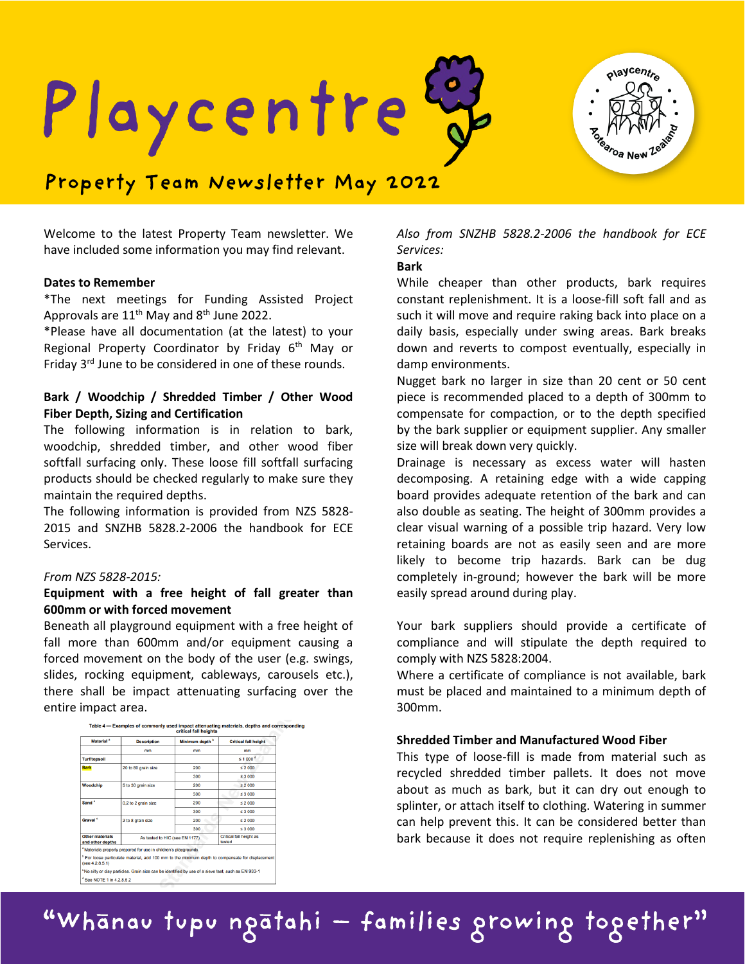olaycentre Playcentre

# **Property Team Newsletter May 2022**

Welcome to the latest Property Team newsletter. We have included some information you may find relevant.

#### **Dates to Remember**

\*The next meetings for Funding Assisted Project Approvals are  $11^{th}$  May and  $8^{th}$  June 2022.

\*Please have all documentation (at the latest) to your Regional Property Coordinator by Friday 6<sup>th</sup> May or Friday 3<sup>rd</sup> June to be considered in one of these rounds.

# **Bark / Woodchip / Shredded Timber / Other Wood Fiber Depth, Sizing and Certification**

The following information is in relation to bark, woodchip, shredded timber, and other wood fiber softfall surfacing only. These loose fill softfall surfacing products should be checked regularly to make sure they maintain the required depths.

The following information is provided from NZS 5828- 2015 and SNZHB 5828.2-2006 the handbook for ECE Services.

# *From NZS 5828-2015:*

### **Equipment with a free height of fall greater than 600mm or with forced movement**

Beneath all playground equipment with a free height of fall more than 600mm and/or equipment causing a forced movement on the body of the user (e.g. swings, slides, rocking equipment, cableways, carousels etc.), there shall be impact attenuating surfacing over the entire impact area.



| Material <sup>a</sup>               | <b>Description</b>                                                                                             | Minimum depth <sup>b</sup> | <b>Critical fall height</b>                                                                                 |
|-------------------------------------|----------------------------------------------------------------------------------------------------------------|----------------------------|-------------------------------------------------------------------------------------------------------------|
|                                     | mm                                                                                                             | mm                         | mm                                                                                                          |
| <b>Turf/topsoil</b>                 |                                                                                                                |                            | $\leq 1000$ <sup>d</sup>                                                                                    |
| <b>Bark</b>                         | 20 to 80 grain size                                                                                            | 200                        | \$2000                                                                                                      |
|                                     |                                                                                                                | 300                        | ≤ 3000                                                                                                      |
| Woodchip                            | 5 to 30 grain size                                                                                             | 200                        | 52000                                                                                                       |
|                                     |                                                                                                                | 300                        | $\leq 3.000$                                                                                                |
| Sand <sup>c</sup>                   | 0,2 to 2 grain size                                                                                            | 200                        | 52000                                                                                                       |
|                                     |                                                                                                                | 300                        | $\leq 3.000$                                                                                                |
| Gravel <sup>c</sup>                 | 2 to 8 grain size                                                                                              | 200                        | 52000                                                                                                       |
|                                     |                                                                                                                | 300                        | $\leq 3,000$                                                                                                |
| Other materials<br>and other depths | As tested to HIC (see EN 1177).                                                                                |                            | Critical fall height as<br>tested                                                                           |
|                                     | <sup>a</sup> Materials properly prepared for use in children's playgrounds                                     |                            |                                                                                                             |
| (see 4.2.8.5.1)                     |                                                                                                                |                            | <sup>b</sup> For loose particulate material, add 100 mm to the minimum depth to compensate for displacement |
|                                     | <sup>c</sup> No silty or clay particles. Grain size can be identified by use of a sieve test, such as EN 933-1 |                            |                                                                                                             |
| $d$ See NOTE 1 in 4.2.8.5.2         |                                                                                                                |                            |                                                                                                             |

# *Also from SNZHB 5828.2-2006 the handbook for ECE Services:*

#### **Bark**

While cheaper than other products, bark requires constant replenishment. It is a loose-fill soft fall and as such it will move and require raking back into place on a daily basis, especially under swing areas. Bark breaks down and reverts to compost eventually, especially in damp environments.

Nugget bark no larger in size than 20 cent or 50 cent piece is recommended placed to a depth of 300mm to compensate for compaction, or to the depth specified by the bark supplier or equipment supplier. Any smaller size will break down very quickly.

Drainage is necessary as excess water will hasten decomposing. A retaining edge with a wide capping board provides adequate retention of the bark and can also double as seating. The height of 300mm provides a clear visual warning of a possible trip hazard. Very low retaining boards are not as easily seen and are more likely to become trip hazards. Bark can be dug completely in-ground; however the bark will be more easily spread around during play.

Your bark suppliers should provide a certificate of compliance and will stipulate the depth required to comply with NZS 5828:2004.

Where a certificate of compliance is not available, bark must be placed and maintained to a minimum depth of 300mm.

#### **Shredded Timber and Manufactured Wood Fiber**

This type of loose-fill is made from material such as recycled shredded timber pallets. It does not move about as much as bark, but it can dry out enough to splinter, or attach itself to clothing. Watering in summer can help prevent this. It can be considered better than bark because it does not require replenishing as often

"Whanau tupu ngatahi - families growing together"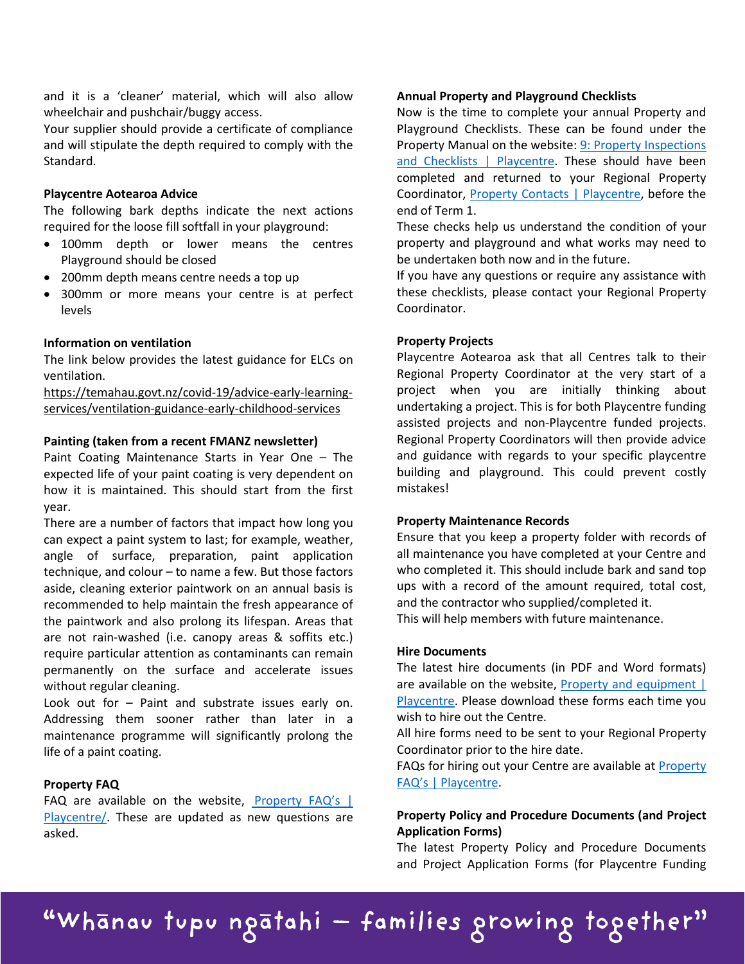and it is a 'cleaner' material, which will also allow wheelchair and pushchair/buggy access.

Your supplier should provide a certificate of compliance and will stipulate the depth required to comply with the Standard.

#### **Playcentre Aotearoa Advice**

The following bark depths indicate the next actions required for the loose fill softfall in your playground:

- 100mm depth or lower means the centres Playground should be closed
- 200mm depth means centre needs a top up
- 300mm or more means your centre is at perfect levels

#### **Information on ventilation**

The link below provides the latest guidance for ELCs on ventilation.

[https://temahau.govt.nz/covid-19/advice-early-learning](https://temahau.govt.nz/covid-19/advice-early-learning-services/ventilation-guidance-early-childhood-services)[services/ventilation-guidance-early-childhood-services](https://temahau.govt.nz/covid-19/advice-early-learning-services/ventilation-guidance-early-childhood-services)

#### **Painting (taken from a recent FMANZ newsletter)**

Paint Coating Maintenance Starts in Year One – The expected life of your paint coating is very dependent on how it is maintained. This should start from the first year.

There are a number of factors that impact how long you can expect a paint system to last; for example, weather, angle of surface, preparation, paint application technique, and colour – to name a few. But those factors aside, cleaning exterior paintwork on an annual basis is recommended to help maintain the fresh appearance of the paintwork and also prolong its lifespan. Areas that are not rain-washed (i.e. canopy areas & soffits etc.) require particular attention as contaminants can remain permanently on the surface and accelerate issues without regular cleaning.

Look out for – Paint and substrate issues early on. Addressing them sooner rather than later in a maintenance programme will significantly prolong the life of a paint coating.

#### **Property FAQ**

FAQ are available on the website, Property FAQ's  $\parallel$ [Playcentre/.](https://www.playcentre.org.nz/property-faqs/) These are updated as new questions are asked.

#### **Annual Property and Playground Checklists**

Now is the time to complete your annual Property and Playground Checklists. These can be found under the Property Manual on the website: [9: Property Inspections](https://www.playcentre.org.nz/member/property/property-manual/9-property-inspections-and-checklists/)  [and Checklists | Playcentre.](https://www.playcentre.org.nz/member/property/property-manual/9-property-inspections-and-checklists/) These should have been completed and returned to your Regional Property Coordinator, [Property Contacts | Playcentre,](https://www.playcentre.org.nz/learnwithus/property/property-contacts/) before the end of Term 1.

These checks help us understand the condition of your property and playground and what works may need to be undertaken both now and in the future.

If you have any questions or require any assistance with these checklists, please contact your Regional Property Coordinator.

#### **Property Projects**

Playcentre Aotearoa ask that all Centres talk to their Regional Property Coordinator at the very start of a project when you are initially thinking about undertaking a project. This is for both Playcentre funding assisted projects and non-Playcentre funded projects. Regional Property Coordinators will then provide advice and guidance with regards to your specific playcentre building and playground. This could prevent costly mistakes!

#### **Property Maintenance Records**

Ensure that you keep a property folder with records of all maintenance you have completed at your Centre and who completed it. This should include bark and sand top ups with a record of the amount required, total cost, and the contractor who supplied/completed it.

This will help members with future maintenance.

#### **Hire Documents**

The latest hire documents (in PDF and Word formats) are available on the website, [Property and equipment |](https://www.playcentre.org.nz/policiesandprocedures/categories/property-and-equipment/)  [Playcentre.](https://www.playcentre.org.nz/policiesandprocedures/categories/property-and-equipment/) Please download these forms each time you wish to hire out the Centre.

All hire forms need to be sent to your Regional Property Coordinator prior to the hire date.

FAQs for hiring out your Centre are available at **Property** [FAQ's | Playcentre.](https://www.playcentre.org.nz/property-faqs/)

# **Property Policy and Procedure Documents (and Project Application Forms)**

The latest Property Policy and Procedure Documents and Project Application Forms (for Playcentre Funding

# "Whanau tupu ngatahi - families growing together"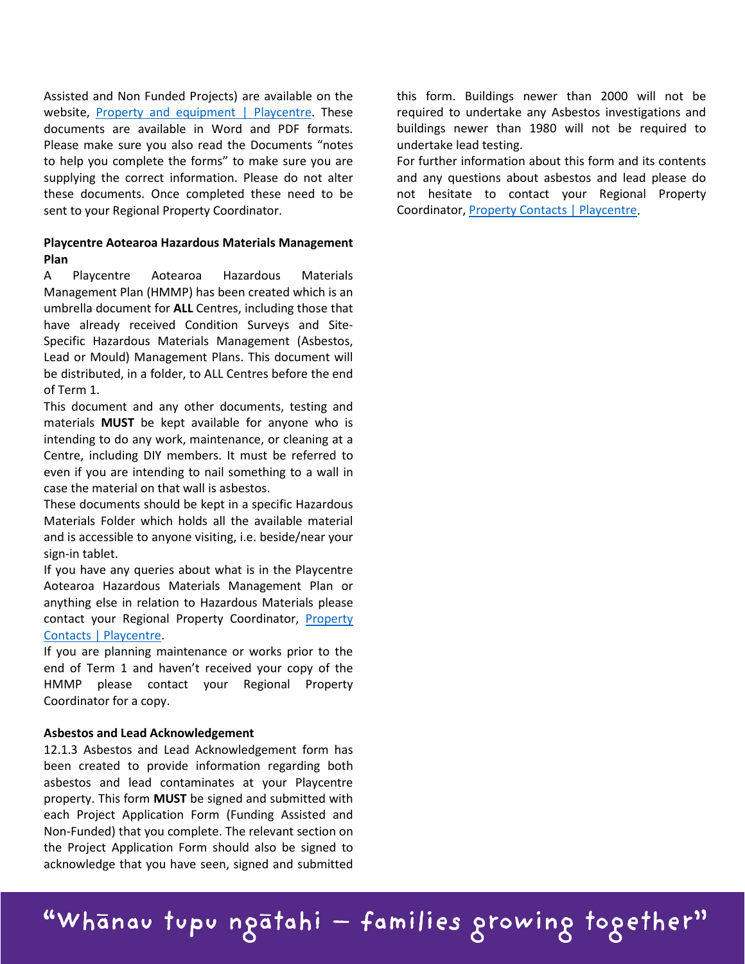Assisted and Non Funded Projects) are available on the website, [Property and equipment | Playcentre.](https://www.playcentre.org.nz/policiesandprocedures/categories/property-and-equipment/) These documents are available in Word and PDF formats. Please make sure you also read the Documents "notes to help you complete the forms" to make sure you are supplying the correct information. Please do not alter these documents. Once completed these need to be sent to your Regional Property Coordinator.

# **Playcentre Aotearoa Hazardous Materials Management Plan**

A Playcentre Aotearoa Hazardous Materials Management Plan (HMMP) has been created which is an umbrella document for **ALL** Centres, including those that have already received Condition Surveys and Site-Specific Hazardous Materials Management (Asbestos, Lead or Mould) Management Plans. This document will be distributed, in a folder, to ALL Centres before the end of Term 1.

This document and any other documents, testing and materials **MUST** be kept available for anyone who is intending to do any work, maintenance, or cleaning at a Centre, including DIY members. It must be referred to even if you are intending to nail something to a wall in case the material on that wall is asbestos.

These documents should be kept in a specific Hazardous Materials Folder which holds all the available material and is accessible to anyone visiting, i.e. beside/near your sign-in tablet.

If you have any queries about what is in the Playcentre Aotearoa Hazardous Materials Management Plan or anything else in relation to Hazardous Materials please contact your Regional Property Coordinator, [Property](https://www.playcentre.org.nz/learnwithus/property/property-contacts/)  [Contacts | Playcentre.](https://www.playcentre.org.nz/learnwithus/property/property-contacts/)

If you are planning maintenance or works prior to the end of Term 1 and haven't received your copy of the HMMP please contact your Regional Property Coordinator for a copy.

#### **Asbestos and Lead Acknowledgement**

12.1.3 Asbestos and Lead Acknowledgement form has been created to provide information regarding both asbestos and lead contaminates at your Playcentre property. This form **MUST** be signed and submitted with each Project Application Form (Funding Assisted and Non-Funded) that you complete. The relevant section on the Project Application Form should also be signed to acknowledge that you have seen, signed and submitted this form. Buildings newer than 2000 will not be required to undertake any Asbestos investigations and buildings newer than 1980 will not be required to undertake lead testing.

For further information about this form and its contents and any questions about asbestos and lead please do not hesitate to contact your Regional Property Coordinator[, Property Contacts | Playcentre.](https://www.playcentre.org.nz/learnwithus/property/property-contacts/)

# "Whānau tupu ngātahi — families growing together"